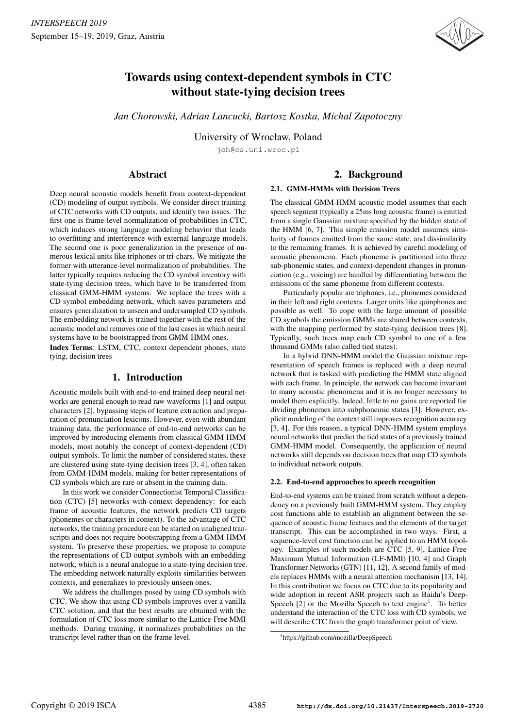

# Towards using context-dependent symbols in CTC without state-tying decision trees

*Jan Chorowski, Adrian Lancucki, Bartosz Kostka, Michal Zapotoczny*

University of Wrocław, Poland

jch@cs.uni.wroc.pl

# Abstract

# 2. Background

### 2.1. GMM-HMMs with Decision Trees

Deep neural acoustic models benefit from context-dependent (CD) modeling of output symbols. We consider direct training of CTC networks with CD outputs, and identify two issues. The first one is frame-level normalization of probabilities in CTC, which induces strong language modeling behavior that leads to overfitting and interference with external language models. The second one is poor generalization in the presence of numerous lexical units like triphones or tri-chars. We mitigate the former with utterance-level normalization of probabilities. The latter typically requires reducing the CD symbol inventory with state-tying decision trees, which have to be transferred from classical GMM-HMM systems. We replace the trees with a CD symbol embedding network, which saves parameters and ensures generalization to unseen and undersampled CD symbols. The embedding network is trained together with the rest of the acoustic model and removes one of the last cases in which neural systems have to be bootstrapped from GMM-HMM ones.

Index Terms: LSTM, CTC, context dependent phones, state tying, decision trees

# 1. Introduction

Acoustic models built with end-to-end trained deep neural networks are general enough to read raw waveforms [1] and output characters [2], bypassing steps of feature extraction and preparation of pronunciation lexicons. However, even with abundant training data, the performance of end-to-end networks can be improved by introducing elements from classical GMM-HMM models, most notably the concept of context-dependent (CD) output symbols. To limit the number of considered states, these are clustered using state-tying decision trees [3, 4], often taken from GMM-HMM models, making for better representations of CD symbols which are rare or absent in the training data.

In this work we consider Connectionist Temporal Classification (CTC) [5] networks with context dependency: for each frame of acoustic features, the network predicts CD targets (phonemes or characters in context). To the advantage of CTC networks, the training procedure can be started on unaligned transcripts and does not require bootstrapping from a GMM-HMM system. To preserve these properties, we propose to compute the representations of CD output symbols with an embedding network, which is a neural analogue to a state-tying decision tree. The embedding network naturally exploits similarities between contexts, and generalizes to previously unseen ones.

We address the challenges posed by using CD symbols with CTC. We show that using CD symbols improves over a vanilla CTC solution, and that the best results are obtained with the formulation of CTC loss more similar to the Lattice-Free MMI methods. During training, it normalizes probabilities on the transcript level rather than on the frame level.

The classical GMM-HMM acoustic model assumes that each speech segment (typically a 25ms long acoustic frame) is emitted from a single Gaussian mixture specified by the hidden state of the HMM [6, 7]. This simple emission model assumes similarity of frames emitted from the same state, and dissimilarity to the remaining frames. It is achieved by careful modeling of acoustic phenomena. Each phoneme is partitioned into three sub-phonemic states, and context-dependent changes in pronunciation (e.g., voicing) are handled by differentiating between the emissions of the same phoneme from different contexts.

Particularly popular are triphones, i.e., phonemes considered in their left and right contexts. Larger units like quinphones are possible as well. To cope with the large amount of possible CD symbols the emission GMMs are shared between contexts, with the mapping performed by state-tying decision trees [8]. Typically, such trees map each CD symbol to one of a few thousand GMMs (also called tied states).

In a hybrid DNN-HMM model the Gaussian mixture representation of speech frames is replaced with a deep neural network that is tasked with predicting the HMM state aligned with each frame. In principle, the network can become invariant to many acoustic phenomena and it is no longer necessary to model them explicitly. Indeed, little to no gains are reported for dividing phonemes into subphonemic states [3]. However, explicit modeling of the context still improves recognition accuracy [3, 4]. For this reason, a typical DNN-HMM system employs neural networks that predict the tied states of a previously trained GMM-HMM model. Consequently, the application of neural networks still depends on decision trees that map CD symbols to individual network outputs.

### 2.2. End-to-end approaches to speech recognition

End-to-end systems can be trained from scratch without a dependency on a previously built GMM-HMM system. They employ cost functions able to establish an alignment between the sequence of acoustic frame features and the elements of the target transcript. This can be accomplished in two ways. First, a sequence-level cost function can be applied to an HMM topology. Examples of such models are CTC [5, 9], Lattice-Free Maximum Mutual Information (LF-MMI) [10, 4] and Graph Transformer Networks (GTN) [11, 12]. A second family of models replaces HMMs with a neural attention mechanism [13, 14]. In this contribution we focus on CTC due to its popularity and wide adoption in recent ASR projects such as Baidu's Deep-Speech [2] or the Mozilla Speech to text engine<sup>1</sup>. To better understand the interaction of the CTC loss with CD symbols, we will describe CTC from the graph transformer point of view.

<sup>1</sup>https://github.com/mozilla/DeepSpeech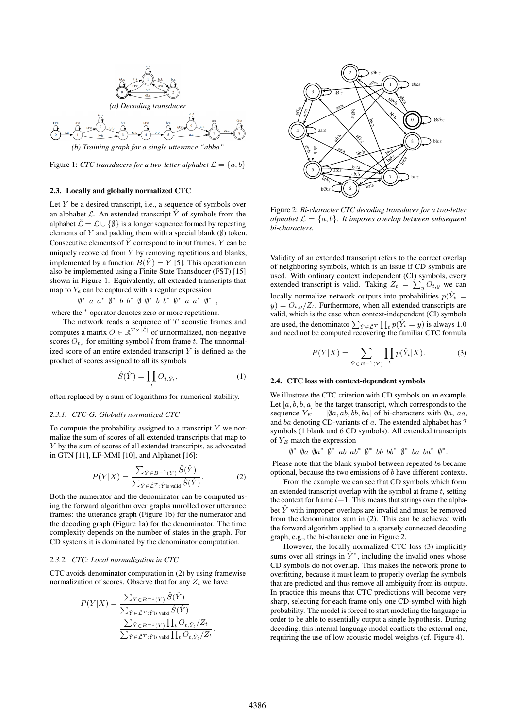

Figure 1: *CTC transducers for a two-letter alphabet*  $\mathcal{L} = \{a, b\}$ 

#### 2.3. Locally and globally normalized CTC

Let  $Y$  be a desired transcript, i.e., a sequence of symbols over an alphabet  $\mathcal L$ . An extended transcript  $\hat Y$  of symbols from the alphabet  $\hat{\mathcal{L}} = \mathcal{L} \cup \{\emptyset\}$  is a longer sequence formed by repeating elements of Y and padding them with a special blank  $(\emptyset)$  token. Consecutive elements of  $\hat{Y}$  correspond to input frames. Y can be uniquely recovered from  $\hat{Y}$  by removing repetitions and blanks, implemented by a function  $B(\hat{Y}) = Y$  [5]. This operation can also be implemented using a Finite State Transducer (FST) [15] shown in Figure 1. Equivalently, all extended transcripts that map to  $Y_e$  can be captured with a regular expression

 $\emptyset^*$  a a<sup>\*</sup>  $\emptyset^*$  b b<sup>\*</sup>  $\emptyset$   $\emptyset^*$  b b<sup>\*</sup>  $\emptyset^*$  a a<sup>\*</sup>  $\emptyset^*$ ,

where the  $*$  operator denotes zero or more repetitions.

The network reads a sequence of  $T$  acoustic frames and computes a matrix  $O \in \mathbb{R}^{T \times |\mathcal{\hat{L}}|}$  of unnormalized, non-negative scores  $O_{t,l}$  for emitting symbol l from frame t. The unnormalized score of an entire extended transcript  $\hat{Y}$  is defined as the product of scores assigned to all its symbols

$$
\hat{S}(\hat{Y}) = \prod_{t} O_{t, \hat{Y}_t},\tag{1}
$$

often replaced by a sum of logarithms for numerical stability.

#### *2.3.1. CTC-G: Globally normalized CTC*

To compute the probability assigned to a transcript  $Y$  we normalize the sum of scores of all extended transcripts that map to Y by the sum of scores of all extended transcripts, as advocated in GTN [11], LF-MMI [10], and Alphanet [16]:

$$
P(Y|X) = \frac{\sum_{\hat{Y} \in B^{-1}(Y)} \hat{S}(\hat{Y})}{\sum_{\hat{Y} \in \hat{\mathcal{L}}^T : \hat{Y} \text{is valid}} \hat{S}(\hat{Y})}.
$$
 (2)

Both the numerator and the denominator can be computed using the forward algorithm over graphs unrolled over utterance frames: the utterance graph (Figure 1b) for the numerator and the decoding graph (Figure 1a) for the denominator. The time complexity depends on the number of states in the graph. For CD systems it is dominated by the denominator computation.

#### *2.3.2. CTC: Local normalization in CTC*

CTC avoids denominator computation in (2) by using framewise normalization of scores. Observe that for any  $Z_t$  we have

$$
P(Y|X) = \frac{\sum_{\hat{Y} \in B^{-1}(Y)} \hat{S}(\hat{Y})}{\sum_{\hat{Y} \in \hat{\mathcal{L}}^T : \hat{Y}_{\text{is valid}}} \hat{S}(\hat{Y})}
$$
  
= 
$$
\frac{\sum_{\hat{Y} \in B^{-1}(Y)} \prod_t O_{t, \hat{Y}_t} / Z_t}{\sum_{\hat{Y} \in \hat{\mathcal{L}}^T : \hat{Y}_{\text{is valid}}} \prod_t O_{t, \hat{Y}_t} / Z_t}.
$$



Figure 2: *Bi-character CTC decoding transducer for a two-letter alphabet*  $\mathcal{L} = \{a, b\}$ *. It imposes overlap between subsequent bi-characters.*

Validity of an extended transcript refers to the correct overlap of neighboring symbols, which is an issue if CD symbols are used. With ordinary context independent (CI) symbols, every extended transcript is valid. Taking  $Z_t = \sum_y O_{t,y}$  we can locally normalize network outputs into probabilities  $p(\hat{Y}_t =$  $y$ ) =  $O_{t,y}/Z_t$ . Furthermore, when all extended transcripts are valid, which is the case when context-independent (CI) symbols are used, the denominator  $\sum_{\hat{Y} \in \hat{\mathcal{L}}^T} \prod_t p(\hat{Y}_t = y)$  is always 1.0 and need not be computed recovering the familiar CTC formula

$$
P(Y|X) = \sum_{\hat{Y} \in B^{-1}(Y)} \prod_{t} p(\hat{Y}_t|X).
$$
 (3)

#### 2.4. CTC loss with context-dependent symbols

We illustrate the CTC criterion with CD symbols on an example. Let  $[a, b, b, a]$  be the target transcript, which corresponds to the sequence  $Y_E = [\emptyset a, ab, bb, ba]$  of bi-characters with  $\emptyset a, aa,$ and ba denoting CD-variants of  $a$ . The extended alphabet has 7 symbols (1 blank and 6 CD symbols). All extended transcripts of  $Y_E$  match the expression

 $\emptyset^*$   $\emptyset$ a  $\emptyset$ a<sup>\*</sup>  $\emptyset^*$   $\emptyset^*$   $\emptyset^*$   $\emptyset^*$   $\emptyset^*$   $\emptyset^*$   $\emptyset^*$   $\emptyset^*$ .

Please note that the blank symbol between repeated bs became optional, because the two emissions of b have different contexts.

From the example we can see that CD symbols which form an extended transcript overlap with the symbol at frame  $t$ , setting the context for frame  $t+1$ . This means that strings over the alphabet  $\hat{Y}$  with improper overlaps are invalid and must be removed from the denominator sum in (2). This can be achieved with the forward algorithm applied to a sparsely connected decoding graph, e.g., the bi-character one in Figure 2.

However, the locally normalized CTC loss (3) implicitly sums over all strings in  $\hat{Y}^*$ , including the invalid ones whose CD symbols do not overlap. This makes the network prone to overfitting, because it must learn to properly overlap the symbols that are predicted and thus remove all ambiguity from its outputs. In practice this means that CTC predictions will become very sharp, selecting for each frame only one CD-symbol with high probability. The model is forced to start modeling the language in order to be able to essentially output a single hypothesis. During decoding, this internal language model conflicts the external one, requiring the use of low acoustic model weights (cf. Figure 4).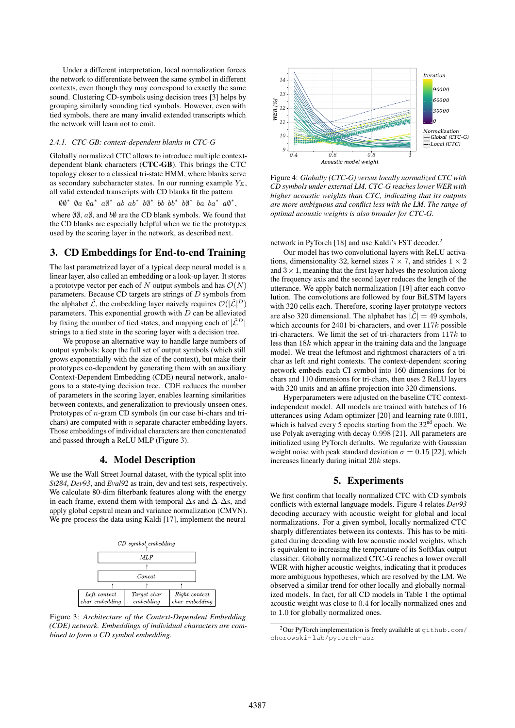Under a different interpretation, local normalization forces the network to differentiate between the same symbol in different contexts, even though they may correspond to exactly the same sound. Clustering CD-symbols using decision trees [3] helps by grouping similarly sounding tied symbols. However, even with tied symbols, there are many invalid extended transcripts which the network will learn not to emit.

#### *2.4.1. CTC-GB: context-dependent blanks in CTC-G*

Globally normalized CTC allows to introduce multiple contextdependent blank characters (CTC-GB). This brings the CTC topology closer to a classical tri-state HMM, where blanks serve as secondary subcharacter states. In our running example  $Y_E$ , all valid extended transcripts with CD blanks fit the pattern

 $\emptyset\emptyset^*$   $\emptyset$ a  $\emptyset$ <sup>\*</sup>  $a\emptyset^*$   $ab\emptyset^*$   $bb\rightarrow b\emptyset^*$   $bb\rightarrow b\emptyset^*$   $ba$   $ba^*$   $a\emptyset^*$ ,

where  $\emptyset\emptyset$ ,  $\alpha\emptyset$ , and  $\delta\emptyset$  are the CD blank symbols. We found that the CD blanks are especially helpful when we tie the prototypes used by the scoring layer in the network, as described next.

## 3. CD Embeddings for End-to-end Training

The last parametrized layer of a typical deep neural model is a linear layer, also called an embedding or a look-up layer. It stores a prototype vector per each of N output symbols and has  $\mathcal{O}(N)$ parameters. Because CD targets are strings of  $D$  symbols from the alphabet  $\hat{\mathcal{L}}$ , the embedding layer naively requires  $\mathcal{O}(|\hat{\mathcal{L}}|^D)$ parameters. This exponential growth with  $D$  can be alleviated by fixing the number of tied states, and mapping each of  $|\hat{L}^D|$ strings to a tied state in the scoring layer with a decision tree.

We propose an alternative way to handle large numbers of output symbols: keep the full set of output symbols (which still grows exponentially with the size of the context), but make their prototypes co-dependent by generating them with an auxiliary Context-Dependent Embedding (CDE) neural network, analogous to a state-tying decision tree. CDE reduces the number of parameters in the scoring layer, enables learning similarities between contexts, and generalization to previously unseen ones. Prototypes of n-gram CD symbols (in our case bi-chars and trichars) are computed with  $n$  separate character embedding layers. Those embeddings of individual characters are then concatenated and passed through a ReLU MLP (Figure 3).

# 4. Model Description

We use the Wall Street Journal dataset, with the typical split into *Si284*, *Dev93*, and *Eval92* as train, dev and test sets, respectively. We calculate 80-dim filterbank features along with the energy in each frame, extend them with temporal  $\Delta$ s and  $\Delta$ - $\Delta$ s, and apply global cepstral mean and variance normalization (CMVN). We pre-process the data using Kaldi [17], implement the neural



Figure 3: *Architecture of the Context-Dependent Embedding (CDE) network. Embeddings of individual characters are combined to form a CD symbol embedding.*



Figure 4: *Globally (CTC-G) versus locally normalized CTC with CD symbols under external LM. CTC-G reaches lower WER with higher acoustic weights than CTC, indicating that its outputs are more ambiguous and conflict less with the LM. The range of optimal acoustic weights is also broader for CTC-G.*

network in PyTorch [18] and use Kaldi's FST decoder.<sup>2</sup>

Our model has two convolutional layers with ReLU activations, dimensionality 32, kernel sizes  $7 \times 7$ , and strides  $1 \times 2$ and  $3 \times 1$ , meaning that the first layer halves the resolution along the frequency axis and the second layer reduces the length of the utterance. We apply batch normalization [19] after each convolution. The convolutions are followed by four BiLSTM layers with 320 cells each. Therefore, scoring layer prototype vectors are also 320 dimensional. The alphabet has  $|\hat{\mathcal{L}}| = 49$  symbols, which accounts for 2401 bi-characters, and over  $117k$  possible tri-characters. We limit the set of tri-characters from  $117k$  to less than 18k which appear in the training data and the language model. We treat the leftmost and rightmost characters of a trichar as left and right contexts. The context-dependent scoring network embeds each CI symbol into 160 dimensions for bichars and 110 dimensions for tri-chars, then uses 2 ReLU layers with 320 units and an affine projection into 320 dimensions.

Hyperparameters were adjusted on the baseline CTC contextindependent model. All models are trained with batches of 16 utterances using Adam optimizer [20] and learning rate 0.001, which is halved every 5 epochs starting from the  $32<sup>nd</sup>$  epoch. We use Polyak averaging with decay 0.998 [21]. All parameters are initialized using PyTorch defaults. We regularize with Gaussian weight noise with peak standard deviation  $\sigma = 0.15$  [22], which increases linearly during initial 20k steps.

# 5. Experiments

We first confirm that locally normalized CTC with CD symbols conflicts with external language models. Figure 4 relates *Dev93* decoding accuracy with acoustic weight for global and local normalizations. For a given symbol, locally normalized CTC sharply differentiates between its contexts. This has to be mitigated during decoding with low acoustic model weights, which is equivalent to increasing the temperature of its SoftMax output classifier. Globally normalized CTC-G reaches a lower overall WER with higher acoustic weights, indicating that it produces more ambiguous hypotheses, which are resolved by the LM. We observed a similar trend for other locally and globally normalized models. In fact, for all CD models in Table 1 the optimal acoustic weight was close to 0.4 for locally normalized ones and to 1.0 for globally normalized ones.

 $2$ Our PyTorch implementation is freely available at  $g$ ithub.com/ chorowski-lab/pytorch-asr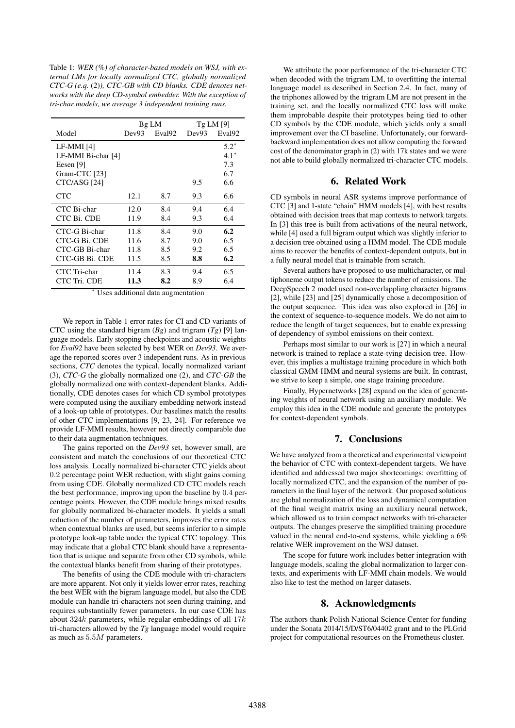Table 1: *WER (%) of character-based models on WSJ, with external LMs for locally normalized CTC, globally normalized CTC-G (e.q.* (2)*), CTC-GB with CD blanks. CDE denotes networks with the deep CD-symbol embedder. With the exception of tri-char models, we average 3 independent training runs.*

|                    | Bg LM |                    | TgLM[9] |                    |
|--------------------|-------|--------------------|---------|--------------------|
| Model              | Dev93 | Eval <sub>92</sub> | Dev93   | Eval <sub>92</sub> |
| $LF-MMI[4]$        |       |                    |         | $5.2*$             |
| LF-MMI Bi-char [4] |       |                    |         | $4.1*$             |
| Eesen [9]          |       |                    |         | 7.3                |
| Gram-CTC [23]      |       |                    |         | 6.7                |
| CTC/ASG [24]       |       |                    | 9.5     | 6.6                |
| <b>CTC</b>         | 12.1  | 8.7                | 9.3     | 6.6                |
| CTC Bi-char        | 12.0  | 8.4                | 9.4     | 6.4                |
| CTC Bi. CDE        | 11.9  | 8.4                | 9.3     | 6.4                |
| CTC-G Bi-char      | 11.8  | 8.4                | 9.0     | 6.2                |
| CTC-G Bi. CDE      | 11.6  | 8.7                | 9.0     | 6.5                |
| CTC-GB Bi-char     | 11.8  | 8.5                | 9.2     | 6.5                |
| CTC-GB Bi. CDE     | 11.5  | 8.5                | 8.8     | 6.2                |
| CTC Tri-char       | 11.4  | 8.3                | 9.4     | 6.5                |
| CTC Tri. CDE       | 11.3  | 8.2                | 8.9     | 6.4                |

Uses additional data augmentation

We report in Table 1 error rates for CI and CD variants of CTC using the standard bigram (*Bg*) and trigram (*Tg*) [9] language models. Early stopping checkpoints and acoustic weights for *Eval92* have been selected by best WER on *Dev93*. We average the reported scores over 3 independent runs. As in previous sections, *CTC* denotes the typical, locally normalized variant (3), *CTC-G* the globally normalized one (2), and *CTC-GB* the globally normalized one with context-dependent blanks. Additionally, CDE denotes cases for which CD symbol prototypes were computed using the auxiliary embedding network instead of a look-up table of prototypes. Our baselines match the results of other CTC implementations [9, 23, 24]. For reference we provide LF-MMI results, however not directly comparable due to their data augmentation techniques.

The gains reported on the *Dev93* set, however small, are consistent and match the conclusions of our theoretical CTC loss analysis. Locally normalized bi-character CTC yields about 0.2 percentage point WER reduction, with slight gains coming from using CDE. Globally normalized CD CTC models reach the best performance, improving upon the baseline by 0.4 percentage points. However, the CDE module brings mixed results for globally normalized bi-character models. It yields a small reduction of the number of parameters, improves the error rates when contextual blanks are used, but seems inferior to a simple prototype look-up table under the typical CTC topology. This may indicate that a global CTC blank should have a representation that is unique and separate from other CD symbols, while the contextual blanks benefit from sharing of their prototypes.

The benefits of using the CDE module with tri-characters are more apparent. Not only it yields lower error rates, reaching the best WER with the bigram language model, but also the CDE module can handle tri-characters not seen during training, and requires substantially fewer parameters. In our case CDE has about  $324k$  parameters, while regular embeddings of all  $17k$ tri-characters allowed by the *Tg* language model would require as much as 5.5M parameters.

We attribute the poor performance of the tri-character CTC when decoded with the trigram LM, to overfitting the internal language model as described in Section 2.4. In fact, many of the triphones allowed by the trigram LM are not present in the training set, and the locally normalized CTC loss will make them improbable despite their prototypes being tied to other CD symbols by the CDE module, which yields only a small improvement over the CI baseline. Unfortunately, our forwardbackward implementation does not allow computing the forward cost of the denominator graph in (2) with 17k states and we were not able to build globally normalized tri-character CTC models.

# 6. Related Work

CD symbols in neural ASR systems improve performance of CTC [3] and 1-state "chain" HMM models [4], with best results obtained with decision trees that map contexts to network targets. In [3] this tree is built from activations of the neural network, while [4] used a full bigram output which was slightly inferior to a decision tree obtained using a HMM model. The CDE module aims to recover the benefits of context-dependent outputs, but in a fully neural model that is trainable from scratch.

Several authors have proposed to use multicharacter, or multiphoneme output tokens to reduce the number of emissions. The DeepSpeech 2 model used non-overlappling character bigrams [2], while [23] and [25] dynamically chose a decomposition of the output sequence. This idea was also explored in [26] in the context of sequence-to-sequence models. We do not aim to reduce the length of target sequences, but to enable expressing of dependency of symbol emissions on their context.

Perhaps most similar to our work is [27] in which a neural network is trained to replace a state-tying decision tree. However, this implies a multistage training procedure in which both classical GMM-HMM and neural systems are built. In contrast, we strive to keep a simple, one stage training procedure.

Finally, Hypernetworks [28] expand on the idea of generating weights of neural network using an auxiliary module. We employ this idea in the CDE module and generate the prototypes for context-dependent symbols.

# 7. Conclusions

We have analyzed from a theoretical and experimental viewpoint the behavior of CTC with context-dependent targets. We have identified and addressed two major shortcomings: overfitting of locally normalized CTC, and the expansion of the number of parameters in the final layer of the network. Our proposed solutions are global normalization of the loss and dynamical computation of the final weight matrix using an auxiliary neural network, which allowed us to train compact networks with tri-character outputs. The changes preserve the simplified training procedure valued in the neural end-to-end systems, while yielding a 6% relative WER improvement on the WSJ dataset.

The scope for future work includes better integration with language models, scaling the global normalization to larger contexts, and experiments with LF-MMI chain models. We would also like to test the method on larger datasets.

# 8. Acknowledgments

The authors thank Polish National Science Center for funding under the Sonata 2014/15/D/ST6/04402 grant and to the PLGrid project for computational resources on the Prometheus cluster.